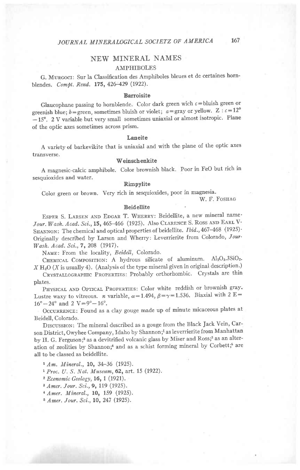# **NEW MINERAL NAMES**

# **AMPHIBOLES**

G. MURGOCI: Sur la Classification des Amphiboles bleues et de certaines hornblendes, Compt. Rend. 175, 426-429 (1922).

#### **Barroisite**

Glaucophane passing to hornblende. Color dark green wich  $c =$  bluish green or greenish blue; b=green, sometimes bluish or violet;  $a = \text{gray or yellow. } Z : c = 12^{\circ}$ -15°. 2 V variable but very small sometimes uniaxial or almost isotropic. Plane of the optic axes sometimes across prism.

#### Laneite

A variety of barkevikite that is uniaxial and with the plane of the optic axes transverse.

# Weinschenkite

A magnesic-calcic amphibole. Color brownish black. Poor in FeO but rich in sesquioxides and water.

#### Rimpylite

Color green or brown. Very rich in sesquioxides, poor in magnesia.

W. F. FOSHAG

#### **Beidellite**

ESPER S. LARSEN AND EDGAR T. WHERRY: Beidellite, a new mineral name-Jour. Wash. Acad. Sci., 15, 465-466 (1925). Also CLARENCE S. ROSS AND EARL V. SHANNON: The chemical and optical properties of beidellite. Ibid., 467-468 (1925). Originally described by Larsen and Wherry: Leverrierite from Colorado, Jour-Wash. Acad. Sci., 7, 208 (1917).

NAME: From the locality, Beidell, Colorado.

CHEMICAL COMPOSITION: A hydrous silicate of aluminum. Al2O3.3SiO2.  $X H<sub>2</sub>O (X)$  is usually 4). (Analysis of the type mineral given in original description.)

CRYSTALLOGRAPHIC PROPERTIES: Probably orthorhombic. Crystals are thin plates.

PHYSICAL AND OPTICAL PROPERTIES: Color white reddish or brownish gray. Lustre waxy to vitreous. *n* variable,  $\alpha = 1.494$ ,  $\beta = \gamma = 1.536$ . Biaxial with 2 E=  $16^{\circ} - 24^{\circ}$  and 2 V=9° -  $16^{\circ}$ .

OCCURRENCE: Found as a clay gouge made up of minute micaceous plates at Beidell, Colorado.

DISCUSSION: The mineral described as a gouge from the Black Jack Vein, Carson District, Owyhee Company, Idaho by Shannon;<sup>1</sup> as leverrierite from Manhattan by H. G. Ferguson;<sup>2</sup> as a devitrified volcanic glass by Miser and Ross;<sup>3</sup> as an alteration of zeolities by Shannon;<sup>4</sup> and as a schist forming mineral by Corbett;<sup>5</sup> are all to be classed as beidellite.

 $1 Am.$  Mineral., 10, 34-36 (1925).

<sup>1</sup> Proc. U. S. Nat. Museum, 62, art. 15 (1922).

<sup>2</sup> Economic Geology, 16, 1 (1921).

<sup>3</sup> Amer. Jour. Sci., 9, 119 (1925).

<sup>4</sup> Amer. Mineral., 10, 159 (1925).

<sup>5</sup> Amer. Jour. Sci., 10, 247 (1925).